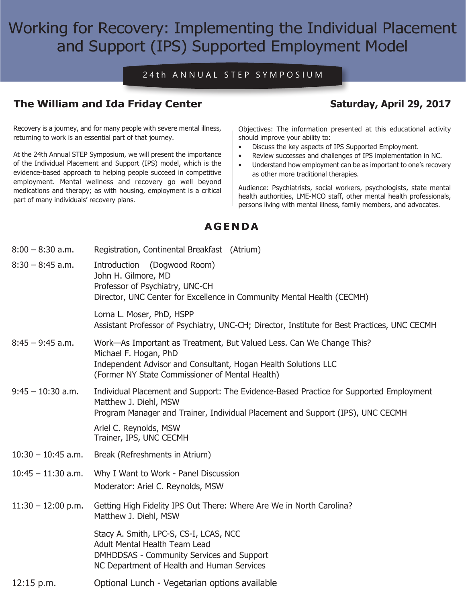# Working for Recovery: Implementing the Individual Placement and Support (IPS) Supported Employment Model

#### 24th ANNUAL STEP SYMPOSIUM

## **The William and Ida Friday Center Saturday, April 29, 2017**

Recovery is a journey, and for many people with severe mental illness, returning to work is an essential part of that journey.

At the 24th Annual STEP Symposium, we will present the importance of the Individual Placement and Support (IPS) model, which is the evidence-based approach to helping people succeed in competitive employment. Mental wellness and recovery go well beyond medications and therapy; as with housing, employment is a critical part of many individuals' recovery plans.

Objectives: The information presented at this educational activity should improve your ability to:

- • Discuss the key aspects of IPS Supported Employment.
- • Review successes and challenges of IPS implementation in NC.
- Understand how employment can be as important to one's recovery as other more traditional therapies.

Audience: Psychiatrists, social workers, psychologists, state mental health authorities, LME-MCO staff, other mental health professionals, persons living with mental illness, family members, and advocates.

### **AGENDA**

| $8:00 - 8:30$ a.m.   | Registration, Continental Breakfast (Atrium)                                                                                                                                                                                                           |
|----------------------|--------------------------------------------------------------------------------------------------------------------------------------------------------------------------------------------------------------------------------------------------------|
| $8:30 - 8:45$ a.m.   | Introduction (Dogwood Room)<br>John H. Gilmore, MD<br>Professor of Psychiatry, UNC-CH<br>Director, UNC Center for Excellence in Community Mental Health (CECMH)                                                                                        |
|                      | Lorna L. Moser, PhD, HSPP<br>Assistant Professor of Psychiatry, UNC-CH; Director, Institute for Best Practices, UNC CECMH                                                                                                                              |
| $8:45 - 9:45$ a.m.   | Work-As Important as Treatment, But Valued Less. Can We Change This?<br>Michael F. Hogan, PhD<br>Independent Advisor and Consultant, Hogan Health Solutions LLC<br>(Former NY State Commissioner of Mental Health)                                     |
| $9:45 - 10:30$ a.m.  | Individual Placement and Support: The Evidence-Based Practice for Supported Employment<br>Matthew J. Diehl, MSW<br>Program Manager and Trainer, Individual Placement and Support (IPS), UNC CECMH<br>Ariel C. Reynolds, MSW<br>Trainer, IPS, UNC CECMH |
| $10:30 - 10:45$ a.m. | Break (Refreshments in Atrium)                                                                                                                                                                                                                         |
| $10:45 - 11:30$ a.m. | Why I Want to Work - Panel Discussion<br>Moderator: Ariel C. Reynolds, MSW                                                                                                                                                                             |
| $11:30 - 12:00$ p.m. | Getting High Fidelity IPS Out There: Where Are We in North Carolina?<br>Matthew J. Diehl, MSW                                                                                                                                                          |
|                      | Stacy A. Smith, LPC-S, CS-I, LCAS, NCC<br>Adult Mental Health Team Lead<br><b>DMHDDSAS - Community Services and Support</b><br>NC Department of Health and Human Services                                                                              |
| $12:15$ p.m.         | Optional Lunch - Vegetarian options available                                                                                                                                                                                                          |